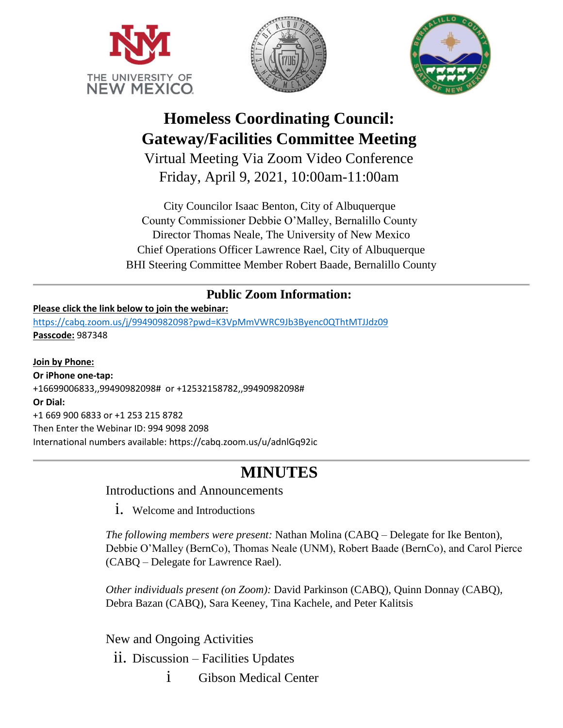





# **Homeless Coordinating Council: Gateway/Facilities Committee Meeting**

Virtual Meeting Via Zoom Video Conference Friday, April 9, 2021, 10:00am-11:00am

City Councilor Isaac Benton, City of Albuquerque County Commissioner Debbie O'Malley, Bernalillo County Director Thomas Neale, The University of New Mexico Chief Operations Officer Lawrence Rael, City of Albuquerque BHI Steering Committee Member Robert Baade, Bernalillo County

# **Public Zoom Information:**

#### **Please click the link below to join the webinar:**

<https://cabq.zoom.us/j/99490982098?pwd=K3VpMmVWRC9Jb3Byenc0QThtMTJJdz09> **Passcode:** 987348

**Join by Phone: Or iPhone one-tap:**  +16699006833,,99490982098# or +12532158782,,99490982098# **Or Dial:** +1 669 900 6833 or +1 253 215 8782 Then Enter the Webinar ID: 994 9098 2098 International numbers available: https://cabq.zoom.us/u/adnlGq92ic

# **MINUTES**

## Introductions and Announcements

1. Welcome and Introductions

*The following members were present:* Nathan Molina (CABQ – Delegate for Ike Benton), Debbie O'Malley (BernCo), Thomas Neale (UNM), Robert Baade (BernCo), and Carol Pierce (CABQ – Delegate for Lawrence Rael).

*Other individuals present (on Zoom):* David Parkinson (CABQ), Quinn Donnay (CABQ), Debra Bazan (CABQ), Sara Keeney, Tina Kachele, and Peter Kalitsis

New and Ongoing Activities

- ii. Discussion Facilities Updates
	- i Gibson Medical Center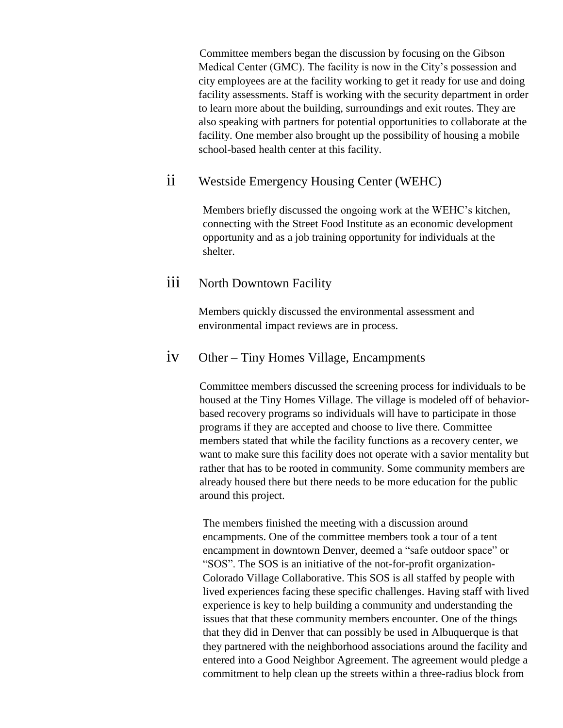Committee members began the discussion by focusing on the Gibson Medical Center (GMC). The facility is now in the City's possession and city employees are at the facility working to get it ready for use and doing facility assessments. Staff is working with the security department in order to learn more about the building, surroundings and exit routes. They are also speaking with partners for potential opportunities to collaborate at the facility. One member also brought up the possibility of housing a mobile school-based health center at this facility.

## ii Westside Emergency Housing Center (WEHC)

Members briefly discussed the ongoing work at the WEHC's kitchen, connecting with the Street Food Institute as an economic development opportunity and as a job training opportunity for individuals at the shelter.

## iii North Downtown Facility

Members quickly discussed the environmental assessment and environmental impact reviews are in process.

## iv Other – Tiny Homes Village, Encampments

Committee members discussed the screening process for individuals to be housed at the Tiny Homes Village. The village is modeled off of behaviorbased recovery programs so individuals will have to participate in those programs if they are accepted and choose to live there. Committee members stated that while the facility functions as a recovery center, we want to make sure this facility does not operate with a savior mentality but rather that has to be rooted in community. Some community members are already housed there but there needs to be more education for the public around this project.

The members finished the meeting with a discussion around encampments. One of the committee members took a tour of a tent encampment in downtown Denver, deemed a "safe outdoor space" or "SOS". The SOS is an initiative of the not-for-profit organization-Colorado Village Collaborative. This SOS is all staffed by people with lived experiences facing these specific challenges. Having staff with lived experience is key to help building a community and understanding the issues that that these community members encounter. One of the things that they did in Denver that can possibly be used in Albuquerque is that they partnered with the neighborhood associations around the facility and entered into a Good Neighbor Agreement. The agreement would pledge a commitment to help clean up the streets within a three-radius block from